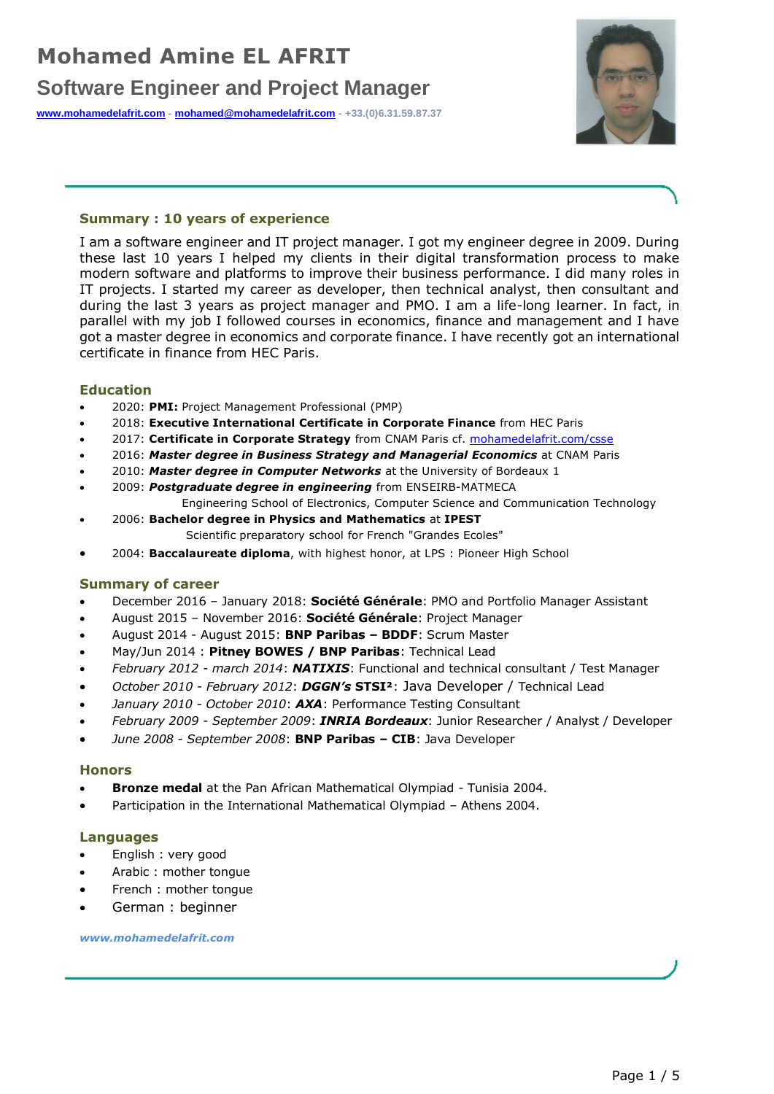# **Software Engineer and Project Manager**

**[www.mohamedelafrit.com](http://www.mohamedelafrit.com/) - [mohamed@mohamedelafrit.com](mailto:mohamed@mohamedelafrit.com) - +33.(0)6.31.59.87.37**



### **Summary : 10 years of experience**

I am a software engineer and IT project manager. I got my engineer degree in 2009. During these last 10 years I helped my clients in their digital transformation process to make modern software and platforms to improve their business performance. I did many roles in IT projects. I started my career as developer, then technical analyst, then consultant and during the last 3 years as project manager and PMO. I am a life-long learner. In fact, in parallel with my job I followed courses in economics, finance and management and I have got a master degree in economics and corporate finance. I have recently got an international certificate in finance from HEC Paris.

### **Education**

- 2020: **PMI:** Project Management Professional (PMP)
- 2018: **Executive International Certificate in Corporate Finance** from HEC Paris
- 2017: Certificate in Corporate Strategy from CNAM Paris cf. **mohamedelafrit.com/csse**
- 2016: *Master degree in Business Strategy and Managerial Economics* at CNAM Paris
- 2010: *Master degree in Computer Networks* at the University of Bordeaux 1
- 2009: *Postgraduate degree in engineering* from ENSEIRB-MATMECA Engineering School of Electronics, Computer Science and Communication Technology
- 2006: **Bachelor degree in Physics and Mathematics** at **IPEST**  Scientific preparatory school for French "Grandes Ecoles"
- 2004: **Baccalaureate diploma**, with highest honor, at LPS : Pioneer High School

### **Summary of career**

- December 2016 January 2018: **Société Générale**: PMO and Portfolio Manager Assistant
- August 2015 November 2016: **Société Générale**: Project Manager
- August 2014 August 2015: **BNP Paribas – BDDF**: Scrum Master
- May/Jun 2014 : **Pitney BOWES / BNP Paribas**: Technical Lead
- *February 2012 - march 2014*: *NATIXIS*: Functional and technical consultant / Test Manager
- *October 2010 - February 2012*: *DGGN's* **STSI²**: Java Developer / Technical Lead
- *January 2010 - October 2010*: *AXA*: Performance Testing Consultant
- *February 2009 - September 2009*: *INRIA Bordeaux*: Junior Researcher / Analyst / Developer
- *June 2008 - September 2008*: **BNP Paribas – CIB**: Java Developer

#### **Honors**

- **Bronze medal** at the Pan African Mathematical Olympiad Tunisia 2004.
- Participation in the International Mathematical Olympiad Athens 2004.

### **Languages**

- English : very good
- Arabic : mother tongue
- French : mother tongue
- German : beginner

#### *www.mohamedelafrit.com*

Page 1 / 5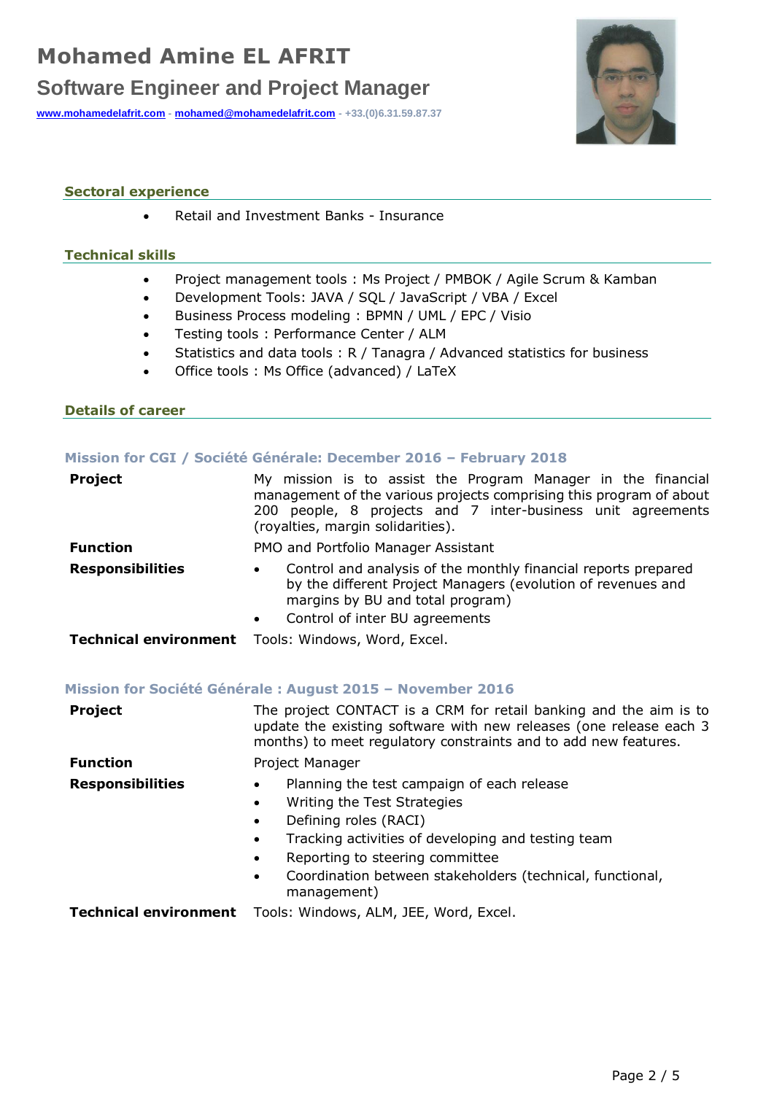# **Mohamed Amine EL AFRIT Software Engineer and Project Manager**

**[www.mohamedelafrit.com](http://www.mohamedelafrit.com/) - [mohamed@mohamedelafrit.com](mailto:mohamed@mohamedelafrit.com) - +33.(0)6.31.59.87.37**



## **Sectoral experience**

• Retail and Investment Banks - Insurance

## **Technical skills**

- Project management tools : Ms Project / PMBOK / Agile Scrum & Kamban
- Development Tools: JAVA / SQL / JavaScript / VBA / Excel
- Business Process modeling : BPMN / UML / EPC / Visio
- Testing tools : Performance Center / ALM
- Statistics and data tools : R / Tanagra / Advanced statistics for business
- Office tools : Ms Office (advanced) / LaTeX

### **Details of career**

### **Mission for CGI / Société Générale: December 2016 – February 2018**

| <b>Project</b>          | My mission is to assist the Program Manager in the financial<br>management of the various projects comprising this program of about<br>people, 8 projects and 7 inter-business unit agreements<br>200 L<br>(royalties, margin solidarities). |
|-------------------------|----------------------------------------------------------------------------------------------------------------------------------------------------------------------------------------------------------------------------------------------|
| <b>Function</b>         | PMO and Portfolio Manager Assistant                                                                                                                                                                                                          |
| <b>Responsibilities</b> | Control and analysis of the monthly financial reports prepared<br>$\bullet$<br>by the different Project Managers (evolution of revenues and<br>margins by BU and total program)<br>Control of inter BU agreements<br>$\bullet$               |
|                         | Technical environment Tools: Windows, Word, Excel.                                                                                                                                                                                           |

### **Mission for Société Générale : August 2015 – November 2016**

| <b>Project</b>               | The project CONTACT is a CRM for retail banking and the aim is to<br>update the existing software with new releases (one release each 3<br>months) to meet regulatory constraints and to add new features.                                                                                                                                            |
|------------------------------|-------------------------------------------------------------------------------------------------------------------------------------------------------------------------------------------------------------------------------------------------------------------------------------------------------------------------------------------------------|
| <b>Function</b>              | Project Manager                                                                                                                                                                                                                                                                                                                                       |
| <b>Responsibilities</b>      | Planning the test campaign of each release<br>$\bullet$<br>Writing the Test Strategies<br>$\bullet$<br>Defining roles (RACI)<br>$\bullet$<br>Tracking activities of developing and testing team<br>$\bullet$<br>Reporting to steering committee<br>$\bullet$<br>Coordination between stakeholders (technical, functional,<br>$\bullet$<br>management) |
| <b>Technical environment</b> | Tools: Windows, ALM, JEE, Word, Excel.                                                                                                                                                                                                                                                                                                                |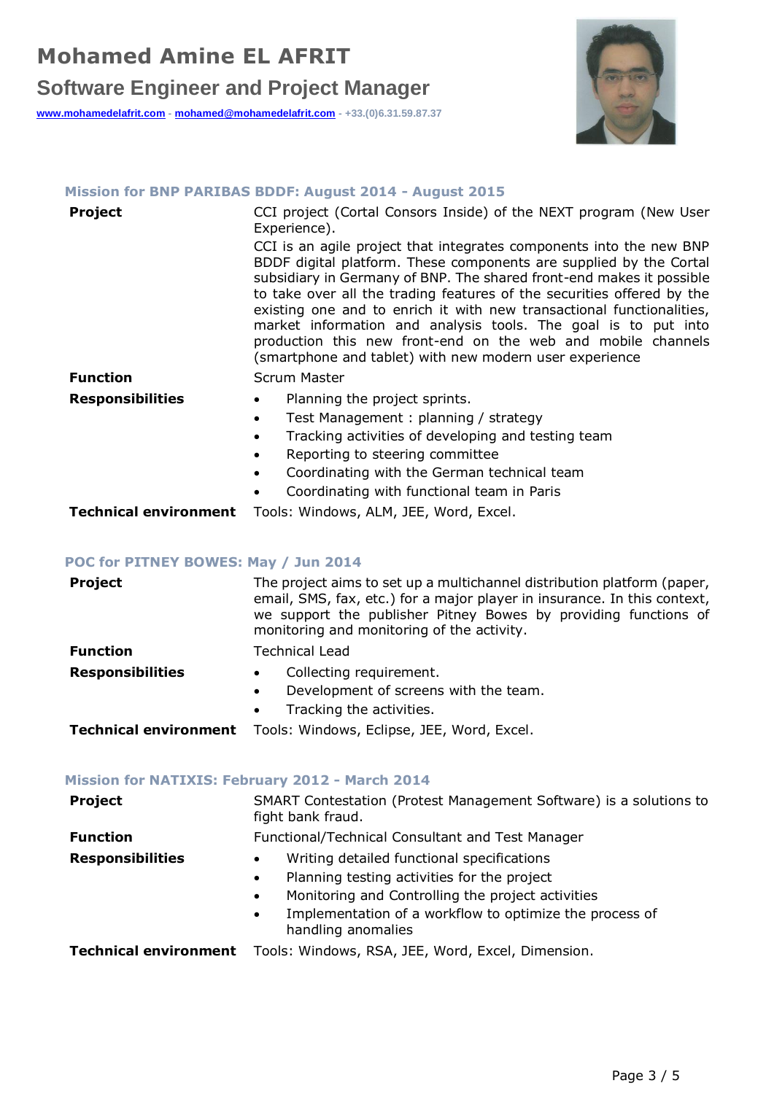# **Software Engineer and Project Manager**

**[www.mohamedelafrit.com](http://www.mohamedelafrit.com/) - [mohamed@mohamedelafrit.com](mailto:mohamed@mohamedelafrit.com) - +33.(0)6.31.59.87.37**



## **Mission for BNP PARIBAS BDDF: August 2014 - August 2015**

| <b>Project</b>               | CCI project (Cortal Consors Inside) of the NEXT program (New User<br>Experience).                                                                                                                                                                                                                                                                                                                                                                                                                                                                                 |
|------------------------------|-------------------------------------------------------------------------------------------------------------------------------------------------------------------------------------------------------------------------------------------------------------------------------------------------------------------------------------------------------------------------------------------------------------------------------------------------------------------------------------------------------------------------------------------------------------------|
|                              | CCI is an agile project that integrates components into the new BNP<br>BDDF digital platform. These components are supplied by the Cortal<br>subsidiary in Germany of BNP. The shared front-end makes it possible<br>to take over all the trading features of the securities offered by the<br>existing one and to enrich it with new transactional functionalities,<br>market information and analysis tools. The goal is to put into<br>production this new front-end on the web and mobile channels<br>(smartphone and tablet) with new modern user experience |
| <b>Function</b>              | Scrum Master                                                                                                                                                                                                                                                                                                                                                                                                                                                                                                                                                      |
| <b>Responsibilities</b>      | Planning the project sprints.                                                                                                                                                                                                                                                                                                                                                                                                                                                                                                                                     |
|                              | Test Management: planning / strategy                                                                                                                                                                                                                                                                                                                                                                                                                                                                                                                              |
|                              | Tracking activities of developing and testing team                                                                                                                                                                                                                                                                                                                                                                                                                                                                                                                |
|                              | Reporting to steering committee                                                                                                                                                                                                                                                                                                                                                                                                                                                                                                                                   |
|                              | Coordinating with the German technical team                                                                                                                                                                                                                                                                                                                                                                                                                                                                                                                       |
|                              | Coordinating with functional team in Paris                                                                                                                                                                                                                                                                                                                                                                                                                                                                                                                        |
| <b>Technical environment</b> | Tools: Windows, ALM, JEE, Word, Excel.                                                                                                                                                                                                                                                                                                                                                                                                                                                                                                                            |

## **POC for PITNEY BOWES: May / Jun 2014**

| <b>Project</b>               | The project aims to set up a multichannel distribution platform (paper,<br>email, SMS, fax, etc.) for a major player in insurance. In this context,<br>we support the publisher Pitney Bowes by providing functions of<br>monitoring and monitoring of the activity. |
|------------------------------|----------------------------------------------------------------------------------------------------------------------------------------------------------------------------------------------------------------------------------------------------------------------|
| <b>Function</b>              | <b>Technical Lead</b>                                                                                                                                                                                                                                                |
| <b>Responsibilities</b>      | Collecting requirement.<br>$\bullet$<br>Development of screens with the team.<br>$\bullet$<br>Tracking the activities.<br>$\bullet$                                                                                                                                  |
| <b>Technical environment</b> | Tools: Windows, Eclipse, JEE, Word, Excel.                                                                                                                                                                                                                           |

## **Mission for NATIXIS: February 2012 - March 2014**

| <b>Project</b>          | SMART Contestation (Protest Management Software) is a solutions to<br>fight bank fraud.                                                                                                                                                                                |
|-------------------------|------------------------------------------------------------------------------------------------------------------------------------------------------------------------------------------------------------------------------------------------------------------------|
| <b>Function</b>         | Functional/Technical Consultant and Test Manager                                                                                                                                                                                                                       |
| <b>Responsibilities</b> | Writing detailed functional specifications<br>Planning testing activities for the project<br>$\bullet$<br>Monitoring and Controlling the project activities<br>$\bullet$<br>Implementation of a workflow to optimize the process of<br>$\bullet$<br>handling anomalies |
|                         | Technical environment Tools: Windows, RSA, JEE, Word, Excel, Dimension.                                                                                                                                                                                                |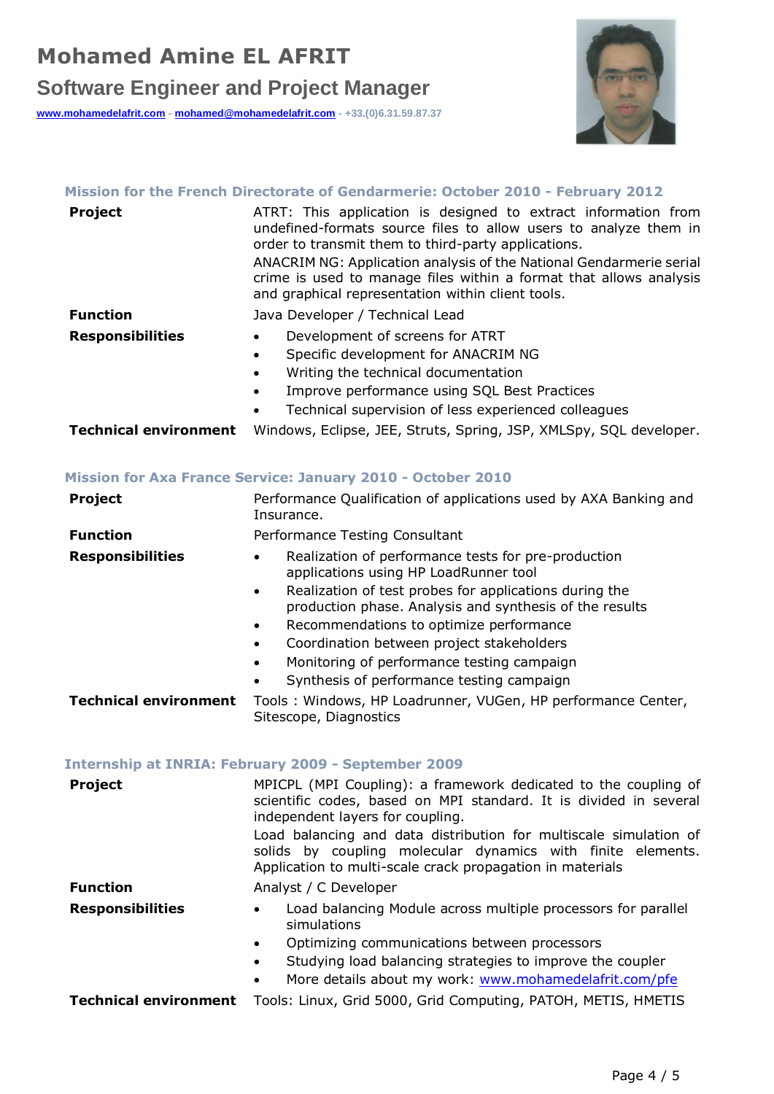# **Software Engineer and Project Manager**

**[www.mohamedelafrit.com](http://www.mohamedelafrit.com/) - [mohamed@mohamedelafrit.com](mailto:mohamed@mohamedelafrit.com) - +33.(0)6.31.59.87.37**



## **Mission for the French Directorate of Gendarmerie: October 2010 - February 2012**

| <b>Project</b>               | ATRT: This application is designed to extract information from<br>undefined-formats source files to allow users to analyze them in<br>order to transmit them to third-party applications.<br>ANACRIM NG: Application analysis of the National Gendarmerie serial<br>crime is used to manage files within a format that allows analysis<br>and graphical representation within client tools. |
|------------------------------|---------------------------------------------------------------------------------------------------------------------------------------------------------------------------------------------------------------------------------------------------------------------------------------------------------------------------------------------------------------------------------------------|
| <b>Function</b>              | Java Developer / Technical Lead                                                                                                                                                                                                                                                                                                                                                             |
| <b>Responsibilities</b>      | Development of screens for ATRT<br>Specific development for ANACRIM NG<br>$\bullet$<br>Writing the technical documentation<br>$\bullet$<br>Improve performance using SQL Best Practices<br>$\bullet$<br>Technical supervision of less experienced colleagues                                                                                                                                |
| <b>Technical environment</b> | Windows, Eclipse, JEE, Struts, Spring, JSP, XMLSpy, SQL developer.                                                                                                                                                                                                                                                                                                                          |

## **Mission for Axa France Service: January 2010 - October 2010**

| <b>Project</b>               | Performance Qualification of applications used by AXA Banking and<br>Insurance.                                                |
|------------------------------|--------------------------------------------------------------------------------------------------------------------------------|
| <b>Function</b>              | Performance Testing Consultant                                                                                                 |
| <b>Responsibilities</b>      | Realization of performance tests for pre-production<br>٠<br>applications using HP LoadRunner tool                              |
|                              | Realization of test probes for applications during the<br>$\bullet$<br>production phase. Analysis and synthesis of the results |
|                              | Recommendations to optimize performance<br>٠                                                                                   |
|                              | Coordination between project stakeholders<br>$\bullet$                                                                         |
|                              | Monitoring of performance testing campaign<br>$\bullet$                                                                        |
|                              | Synthesis of performance testing campaign<br>$\bullet$                                                                         |
| <b>Technical environment</b> | Tools: Windows, HP Loadrunner, VUGen, HP performance Center,<br>Sitescope, Diagnostics                                         |

## **Internship at INRIA: February 2009 - September 2009**

| <b>Project</b>               | MPICPL (MPI Coupling): a framework dedicated to the coupling of<br>scientific codes, based on MPI standard. It is divided in several<br>independent layers for coupling.<br>Load balancing and data distribution for multiscale simulation of<br>solids by coupling molecular dynamics with finite elements.<br>Application to multi-scale crack propagation in materials |
|------------------------------|---------------------------------------------------------------------------------------------------------------------------------------------------------------------------------------------------------------------------------------------------------------------------------------------------------------------------------------------------------------------------|
| <b>Function</b>              | Analyst / C Developer                                                                                                                                                                                                                                                                                                                                                     |
| <b>Responsibilities</b>      | Load balancing Module across multiple processors for parallel<br>simulations<br>Optimizing communications between processors<br>$\bullet$<br>Studying load balancing strategies to improve the coupler<br>$\bullet$<br>More details about my work: www.mohamedelafrit.com/pfe<br>$\bullet$                                                                                |
| <b>Technical environment</b> | Tools: Linux, Grid 5000, Grid Computing, PATOH, METIS, HMETIS                                                                                                                                                                                                                                                                                                             |